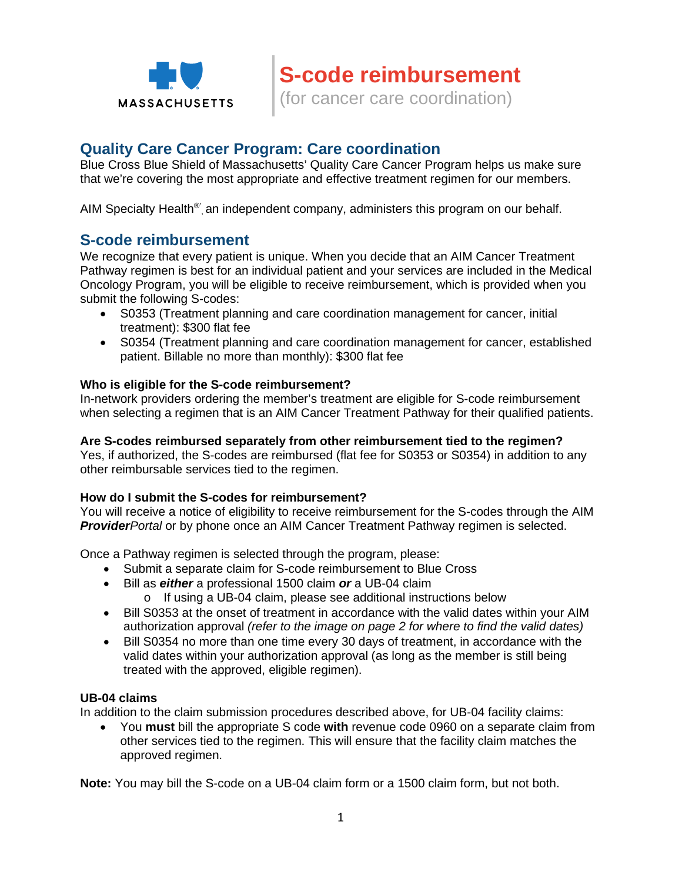

# **Quality Care Cancer Program: Care coordination**

Blue Cross Blue Shield of Massachusetts' Quality Care Cancer Program helps us make sure that we're covering the most appropriate and effective treatment regimen for our members.

AIM Specialty Health<sup>®</sup>, an independent company, administers this program on our behalf.

# **S-code reimbursement**

We recognize that every patient is unique. When you decide that an AIM Cancer Treatment Pathway regimen is best for an individual patient and your services are included in the Medical Oncology Program, you will be eligible to receive reimbursement, which is provided when you submit the following S-codes:

- S0353 (Treatment planning and care coordination management for cancer, initial treatment): \$300 flat fee
- S0354 (Treatment planning and care coordination management for cancer, established patient. Billable no more than monthly): \$300 flat fee

### **Who is eligible for the S-code reimbursement?**

In-network providers ordering the member's treatment are eligible for S-code reimbursement when selecting a regimen that is an AIM Cancer Treatment Pathway for their qualified patients.

#### **Are S-codes reimbursed separately from other reimbursement tied to the regimen?**

Yes, if authorized, the S-codes are reimbursed (flat fee for S0353 or S0354) in addition to any other reimbursable services tied to the regimen.

#### **How do I submit the S-codes for reimbursement?**

You will receive a notice of eligibility to receive reimbursement for the S-codes through the AIM *ProviderPortal* or by phone once an AIM Cancer Treatment Pathway regimen is selected.

Once a Pathway regimen is selected through the program, please:

- Submit a separate claim for S-code reimbursement to Blue Cross
- Bill as *either* a professional 1500 claim *or* a UB-04 claim
	- o If using a UB-04 claim, please see additional instructions below
- Bill S0353 at the onset of treatment in accordance with the valid dates within your AIM authorization approval *(refer to the image on page 2 for where to find the valid dates)*
- Bill S0354 no more than one time every 30 days of treatment, in accordance with the valid dates within your authorization approval (as long as the member is still being treated with the approved, eligible regimen).

### **UB-04 claims**

In addition to the claim submission procedures described above, for UB-04 facility claims:

 You **must** bill the appropriate S code **with** revenue code 0960 on a separate claim from other services tied to the regimen. This will ensure that the facility claim matches the approved regimen.

**Note:** You may bill the S-code on a UB-04 claim form or a 1500 claim form, but not both.